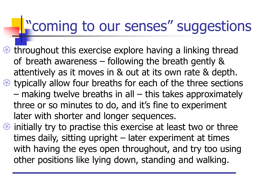## "coming to our senses" suggestions

 $\circledast$  throughout this exercise explore having a linking thread of breath awareness – following the breath gently & attentively as it moves in & out at its own rate & depth.  $\circledast$  typically allow four breaths for each of the three sections – making twelve breaths in all – this takes approximately three or so minutes to do, and it's fine to experiment later with shorter and longer sequences.  $\circledast$  initially try to practise this exercise at least two or three times daily, sitting upright – later experiment at times with having the eyes open throughout, and try too using other positions like lying down, standing and walking.